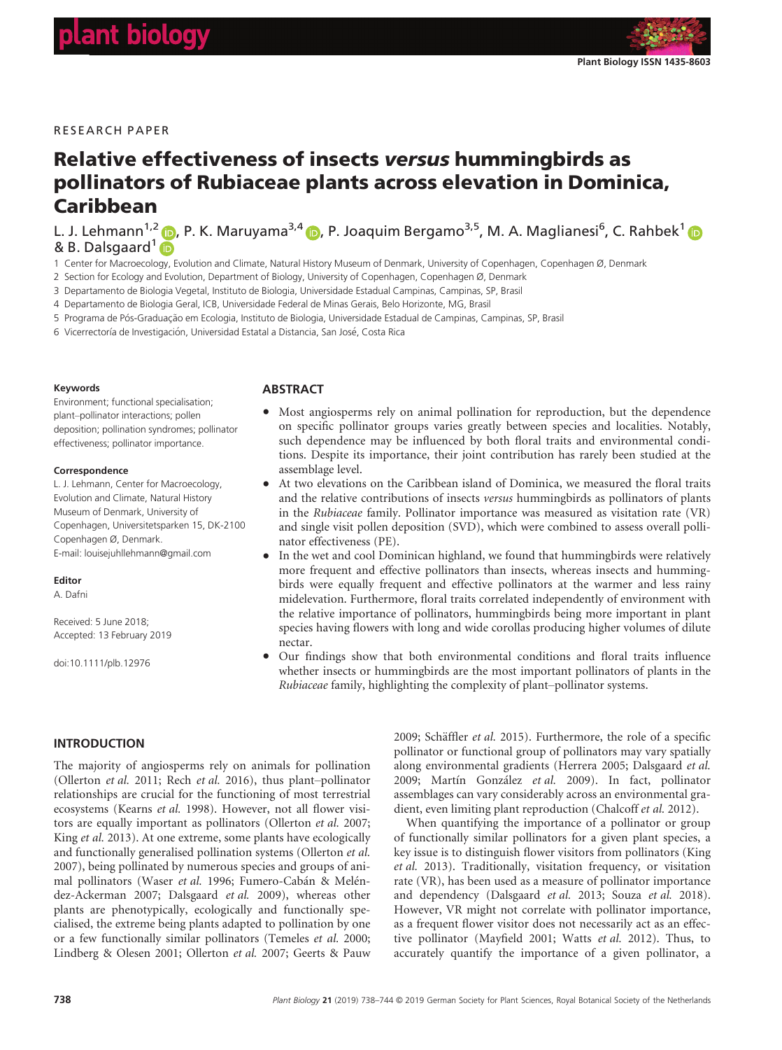# RESEARCH PAPER

# Relative effectiveness of insects versus hummingbirds as pollinators of Rubiaceae plants across elevation in Dominica, Caribbean

L. J. Lehmann<sup>1,[2](https://orcid.org/0000-0001-6743-0871)</sup> (D, P. K. Maruyama<sup>3,4</sup> (D, P. Joaquim Bergamo<sup>3,5</sup>, M. A. Maglianesi<sup>6</sup>, C. Rahbek<sup>[1](https://orcid.org/0000-0003-4585-0300)</sup> & B. Dalsgaard<sup>1</sup>

1 Center for Macroecology, Evolution and Climate, Natural History Museum of Denmark, University of Copenhagen, Copenhagen Ø, Denmark

2 Section for Ecology and Evolution, Department of Biology, University of Copenhagen, Copenhagen Ø, Denmark

3 Departamento de Biologia Vegetal, Instituto de Biologia, Universidade Estadual Campinas, Campinas, SP, Brasil

4 Departamento de Biologia Geral, ICB, Universidade Federal de Minas Gerais, Belo Horizonte, MG, Brasil

5 Programa de Pós-Graduação em Ecologia, Instituto de Biologia, Universidade Estadual de Campinas, Campinas, SP, Brasil

6 Vicerrectoría de Investigación, Universidad Estatal a Distancia, San José, Costa Rica

#### Keywords

Environment; functional specialisation; plant–pollinator interactions; pollen deposition; pollination syndromes; pollinator effectiveness; pollinator importance.

#### **Correspondence**

L. J. Lehmann, Center for Macroecology, Evolution and Climate, Natural History Museum of Denmark, University of Copenhagen, Universitetsparken 15, DK-2100 Copenhagen Ø, Denmark. E-mail: louisejuhllehmann@gmail.com

#### Editor

A. Dafni

Received: 5 June 2018; Accepted: 13 February 2019

doi:10.1111/plb.12976

INTRODUCTION

## **ABSTRACT**

- Most angiosperms rely on animal pollination for reproduction, but the dependence on specific pollinator groups varies greatly between species and localities. Notably, such dependence may be influenced by both floral traits and environmental conditions. Despite its importance, their joint contribution has rarely been studied at the assemblage level.
- At two elevations on the Caribbean island of Dominica, we measured the floral traits and the relative contributions of insects versus hummingbirds as pollinators of plants in the Rubiaceae family. Pollinator importance was measured as visitation rate (VR) and single visit pollen deposition (SVD), which were combined to assess overall pollinator effectiveness (PE).
- In the wet and cool Dominican highland, we found that hummingbirds were relatively more frequent and effective pollinators than insects, whereas insects and hummingbirds were equally frequent and effective pollinators at the warmer and less rainy midelevation. Furthermore, floral traits correlated independently of environment with the relative importance of pollinators, hummingbirds being more important in plant species having flowers with long and wide corollas producing higher volumes of dilute nectar.
- Our findings show that both environmental conditions and floral traits influence whether insects or hummingbirds are the most important pollinators of plants in the Rubiaceae family, highlighting the complexity of plant–pollinator systems.

The majority of angiosperms rely on animals for pollination (Ollerton et al. 2011; Rech et al. 2016), thus plant–pollinator relationships are crucial for the functioning of most terrestrial ecosystems (Kearns et al. 1998). However, not all flower visitors are equally important as pollinators (Ollerton et al. 2007; King et al. 2013). At one extreme, some plants have ecologically and functionally generalised pollination systems (Ollerton et al. 2007), being pollinated by numerous species and groups of animal pollinators (Waser et al. 1996; Fumero-Cabán & Meléndez-Ackerman 2007; Dalsgaard et al. 2009), whereas other plants are phenotypically, ecologically and functionally specialised, the extreme being plants adapted to pollination by one or a few functionally similar pollinators (Temeles et al. 2000; Lindberg & Olesen 2001; Ollerton et al. 2007; Geerts & Pauw

2009; Schäffler et al. 2015). Furthermore, the role of a specific pollinator or functional group of pollinators may vary spatially along environmental gradients (Herrera 2005; Dalsgaard et al. 2009; Martín González et al. 2009). In fact, pollinator assemblages can vary considerably across an environmental gradient, even limiting plant reproduction (Chalcoff et al. 2012).

When quantifying the importance of a pollinator or group of functionally similar pollinators for a given plant species, a key issue is to distinguish flower visitors from pollinators (King et al. 2013). Traditionally, visitation frequency, or visitation rate (VR), has been used as a measure of pollinator importance and dependency (Dalsgaard et al. 2013; Souza et al. 2018). However, VR might not correlate with pollinator importance, as a frequent flower visitor does not necessarily act as an effective pollinator (Mayfield 2001; Watts et al. 2012). Thus, to accurately quantify the importance of a given pollinator, a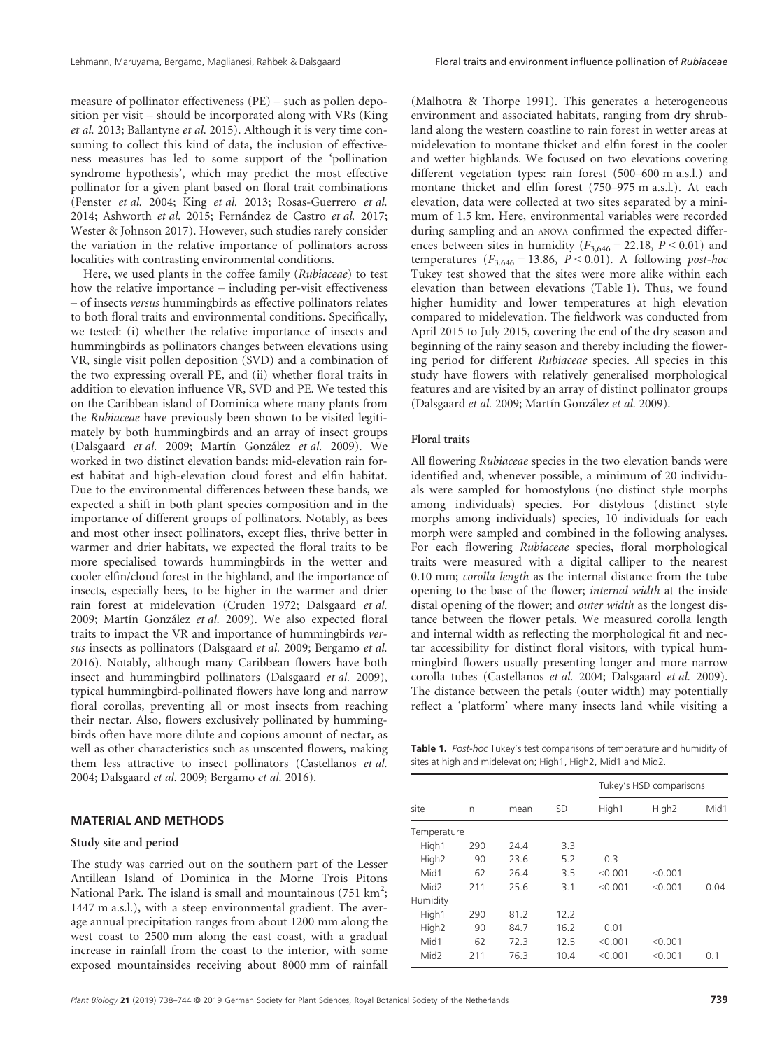measure of pollinator effectiveness (PE) – such as pollen deposition per visit – should be incorporated along with VRs (King et al. 2013; Ballantyne et al. 2015). Although it is very time consuming to collect this kind of data, the inclusion of effectiveness measures has led to some support of the 'pollination syndrome hypothesis', which may predict the most effective pollinator for a given plant based on floral trait combinations (Fenster et al. 2004; King et al. 2013; Rosas-Guerrero et al. 2014; Ashworth et al. 2015; Fernández de Castro et al. 2017; Wester & Johnson 2017). However, such studies rarely consider the variation in the relative importance of pollinators across localities with contrasting environmental conditions.

Here, we used plants in the coffee family (Rubiaceae) to test how the relative importance – including per-visit effectiveness – of insects versus hummingbirds as effective pollinators relates to both floral traits and environmental conditions. Specifically, we tested: (i) whether the relative importance of insects and hummingbirds as pollinators changes between elevations using VR, single visit pollen deposition (SVD) and a combination of the two expressing overall PE, and (ii) whether floral traits in addition to elevation influence VR, SVD and PE. We tested this on the Caribbean island of Dominica where many plants from the Rubiaceae have previously been shown to be visited legitimately by both hummingbirds and an array of insect groups (Dalsgaard et al. 2009; Martín González et al. 2009). We worked in two distinct elevation bands: mid-elevation rain forest habitat and high-elevation cloud forest and elfin habitat. Due to the environmental differences between these bands, we expected a shift in both plant species composition and in the importance of different groups of pollinators. Notably, as bees and most other insect pollinators, except flies, thrive better in warmer and drier habitats, we expected the floral traits to be more specialised towards hummingbirds in the wetter and cooler elfin/cloud forest in the highland, and the importance of insects, especially bees, to be higher in the warmer and drier rain forest at midelevation (Cruden 1972; Dalsgaard et al. 2009; Martín González et al. 2009). We also expected floral traits to impact the VR and importance of hummingbirds versus insects as pollinators (Dalsgaard et al. 2009; Bergamo et al. 2016). Notably, although many Caribbean flowers have both insect and hummingbird pollinators (Dalsgaard et al. 2009), typical hummingbird-pollinated flowers have long and narrow floral corollas, preventing all or most insects from reaching their nectar. Also, flowers exclusively pollinated by hummingbirds often have more dilute and copious amount of nectar, as well as other characteristics such as unscented flowers, making them less attractive to insect pollinators (Castellanos et al. 2004; Dalsgaard et al. 2009; Bergamo et al. 2016).

# MATERIAL AND METHODS

### Study site and period

The study was carried out on the southern part of the Lesser Antillean Island of Dominica in the Morne Trois Pitons National Park. The island is small and mountainous (751  $\text{km}^2$ ; 1447 m a.s.l.), with a steep environmental gradient. The average annual precipitation ranges from about 1200 mm along the west coast to 2500 mm along the east coast, with a gradual increase in rainfall from the coast to the interior, with some exposed mountainsides receiving about 8000 mm of rainfall

(Malhotra & Thorpe 1991). This generates a heterogeneous environment and associated habitats, ranging from dry shrubland along the western coastline to rain forest in wetter areas at midelevation to montane thicket and elfin forest in the cooler and wetter highlands. We focused on two elevations covering different vegetation types: rain forest (500–600 m a.s.l.) and montane thicket and elfin forest (750–975 m a.s.l.). At each elevation, data were collected at two sites separated by a minimum of 1.5 km. Here, environmental variables were recorded during sampling and an ANOVA confirmed the expected differences between sites in humidity ( $F_{3,646} = 22.18$ ,  $P < 0.01$ ) and temperatures ( $F_{3.646}$  = 13.86,  $P < 0.01$ ). A following post-hoc Tukey test showed that the sites were more alike within each elevation than between elevations (Table 1). Thus, we found higher humidity and lower temperatures at high elevation compared to midelevation. The fieldwork was conducted from April 2015 to July 2015, covering the end of the dry season and beginning of the rainy season and thereby including the flowering period for different Rubiaceae species. All species in this study have flowers with relatively generalised morphological features and are visited by an array of distinct pollinator groups (Dalsgaard et al. 2009; Martín González et al. 2009).

## Floral traits

All flowering Rubiaceae species in the two elevation bands were identified and, whenever possible, a minimum of 20 individuals were sampled for homostylous (no distinct style morphs among individuals) species. For distylous (distinct style morphs among individuals) species, 10 individuals for each morph were sampled and combined in the following analyses. For each flowering Rubiaceae species, floral morphological traits were measured with a digital calliper to the nearest 0.10 mm; corolla length as the internal distance from the tube opening to the base of the flower; internal width at the inside distal opening of the flower; and outer width as the longest distance between the flower petals. We measured corolla length and internal width as reflecting the morphological fit and nectar accessibility for distinct floral visitors, with typical hummingbird flowers usually presenting longer and more narrow corolla tubes (Castellanos et al. 2004; Dalsgaard et al. 2009). The distance between the petals (outer width) may potentially reflect a 'platform' where many insects land while visiting a

Table 1. Post-hoc Tukey's test comparisons of temperature and humidity of sites at high and midelevation; High1, High2, Mid1 and Mid2.

|                   | n   | mean |      | Tukey's HSD comparisons |                   |      |
|-------------------|-----|------|------|-------------------------|-------------------|------|
| site              |     |      | SD   | High1                   | High <sub>2</sub> | Mid1 |
| Temperature       |     |      |      |                         |                   |      |
| High1             | 290 | 24.4 | 3.3  |                         |                   |      |
| High <sub>2</sub> | 90  | 23.6 | 5.2  | 0.3                     |                   |      |
| Mid1              | 62  | 26.4 | 3.5  | < 0.001                 | < 0.001           |      |
| Mid <sub>2</sub>  | 211 | 25.6 | 3.1  | < 0.001                 | < 0.001           | 0.04 |
| Humidity          |     |      |      |                         |                   |      |
| High1             | 290 | 81.2 | 12.2 |                         |                   |      |
| High <sub>2</sub> | 90  | 84.7 | 16.2 | 0.01                    |                   |      |
| Mid1              | 62  | 72.3 | 12.5 | < 0.001                 | < 0.001           |      |
| Mid <sub>2</sub>  | 211 | 76.3 | 10.4 | < 0.001                 | < 0.001           | 0.1  |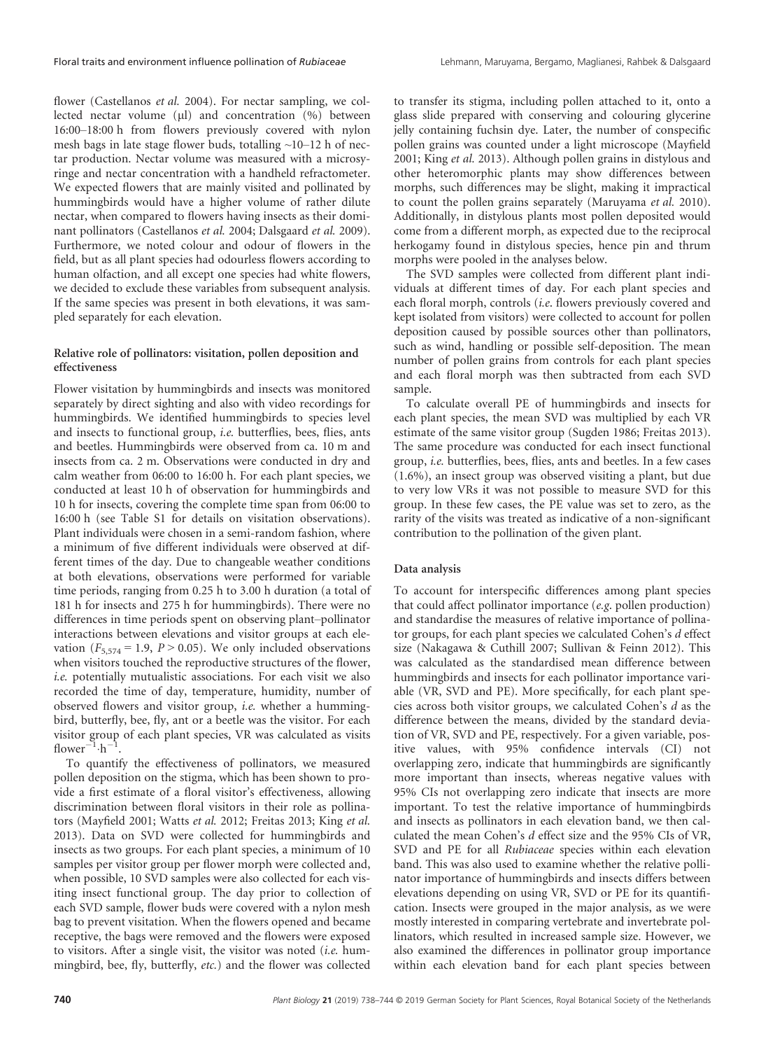flower (Castellanos et al. 2004). For nectar sampling, we collected nectar volume (ul) and concentration  $(%)$  between 16:00–18:00 h from flowers previously covered with nylon mesh bags in late stage flower buds, totalling  $\sim$ 10–12 h of nectar production. Nectar volume was measured with a microsyringe and nectar concentration with a handheld refractometer. We expected flowers that are mainly visited and pollinated by hummingbirds would have a higher volume of rather dilute nectar, when compared to flowers having insects as their dominant pollinators (Castellanos et al. 2004; Dalsgaard et al. 2009). Furthermore, we noted colour and odour of flowers in the field, but as all plant species had odourless flowers according to human olfaction, and all except one species had white flowers, we decided to exclude these variables from subsequent analysis. If the same species was present in both elevations, it was sampled separately for each elevation.

## Relative role of pollinators: visitation, pollen deposition and effectiveness

Flower visitation by hummingbirds and insects was monitored separately by direct sighting and also with video recordings for hummingbirds. We identified hummingbirds to species level and insects to functional group, i.e. butterflies, bees, flies, ants and beetles. Hummingbirds were observed from ca. 10 m and insects from ca. 2 m. Observations were conducted in dry and calm weather from 06:00 to 16:00 h. For each plant species, we conducted at least 10 h of observation for hummingbirds and 10 h for insects, covering the complete time span from 06:00 to 16:00 h (see Table S1 for details on visitation observations). Plant individuals were chosen in a semi-random fashion, where a minimum of five different individuals were observed at different times of the day. Due to changeable weather conditions at both elevations, observations were performed for variable time periods, ranging from 0.25 h to 3.00 h duration (a total of 181 h for insects and 275 h for hummingbirds). There were no differences in time periods spent on observing plant–pollinator interactions between elevations and visitor groups at each elevation ( $F_{5,574} = 1.9$ ,  $P > 0.05$ ). We only included observations when visitors touched the reproductive structures of the flower, i.e. potentially mutualistic associations. For each visit we also recorded the time of day, temperature, humidity, number of observed flowers and visitor group, i.e. whether a hummingbird, butterfly, bee, fly, ant or a beetle was the visitor. For each visitor group of each plant species, VR was calculated as visits flower<sup>-1</sup> $\cdot$ h<sup>-1</sup> .

To quantify the effectiveness of pollinators, we measured pollen deposition on the stigma, which has been shown to provide a first estimate of a floral visitor's effectiveness, allowing discrimination between floral visitors in their role as pollinators (Mayfield 2001; Watts et al. 2012; Freitas 2013; King et al. 2013). Data on SVD were collected for hummingbirds and insects as two groups. For each plant species, a minimum of 10 samples per visitor group per flower morph were collected and, when possible, 10 SVD samples were also collected for each visiting insect functional group. The day prior to collection of each SVD sample, flower buds were covered with a nylon mesh bag to prevent visitation. When the flowers opened and became receptive, the bags were removed and the flowers were exposed to visitors. After a single visit, the visitor was noted (i.e. hummingbird, bee, fly, butterfly, etc.) and the flower was collected

to transfer its stigma, including pollen attached to it, onto a glass slide prepared with conserving and colouring glycerine jelly containing fuchsin dye. Later, the number of conspecific pollen grains was counted under a light microscope (Mayfield 2001; King et al. 2013). Although pollen grains in distylous and other heteromorphic plants may show differences between morphs, such differences may be slight, making it impractical to count the pollen grains separately (Maruyama et al. 2010). Additionally, in distylous plants most pollen deposited would come from a different morph, as expected due to the reciprocal herkogamy found in distylous species, hence pin and thrum morphs were pooled in the analyses below.

The SVD samples were collected from different plant individuals at different times of day. For each plant species and each floral morph, controls (i.e. flowers previously covered and kept isolated from visitors) were collected to account for pollen deposition caused by possible sources other than pollinators, such as wind, handling or possible self-deposition. The mean number of pollen grains from controls for each plant species and each floral morph was then subtracted from each SVD sample.

To calculate overall PE of hummingbirds and insects for each plant species, the mean SVD was multiplied by each VR estimate of the same visitor group (Sugden 1986; Freitas 2013). The same procedure was conducted for each insect functional group, i.e. butterflies, bees, flies, ants and beetles. In a few cases (1.6%), an insect group was observed visiting a plant, but due to very low VRs it was not possible to measure SVD for this group. In these few cases, the PE value was set to zero, as the rarity of the visits was treated as indicative of a non-significant contribution to the pollination of the given plant.

#### Data analysis

To account for interspecific differences among plant species that could affect pollinator importance (e.g. pollen production) and standardise the measures of relative importance of pollinator groups, for each plant species we calculated Cohen's d effect size (Nakagawa & Cuthill 2007; Sullivan & Feinn 2012). This was calculated as the standardised mean difference between hummingbirds and insects for each pollinator importance variable (VR, SVD and PE). More specifically, for each plant species across both visitor groups, we calculated Cohen's d as the difference between the means, divided by the standard deviation of VR, SVD and PE, respectively. For a given variable, positive values, with 95% confidence intervals (CI) not overlapping zero, indicate that hummingbirds are significantly more important than insects, whereas negative values with 95% CIs not overlapping zero indicate that insects are more important. To test the relative importance of hummingbirds and insects as pollinators in each elevation band, we then calculated the mean Cohen's d effect size and the 95% CIs of VR, SVD and PE for all Rubiaceae species within each elevation band. This was also used to examine whether the relative pollinator importance of hummingbirds and insects differs between elevations depending on using VR, SVD or PE for its quantification. Insects were grouped in the major analysis, as we were mostly interested in comparing vertebrate and invertebrate pollinators, which resulted in increased sample size. However, we also examined the differences in pollinator group importance within each elevation band for each plant species between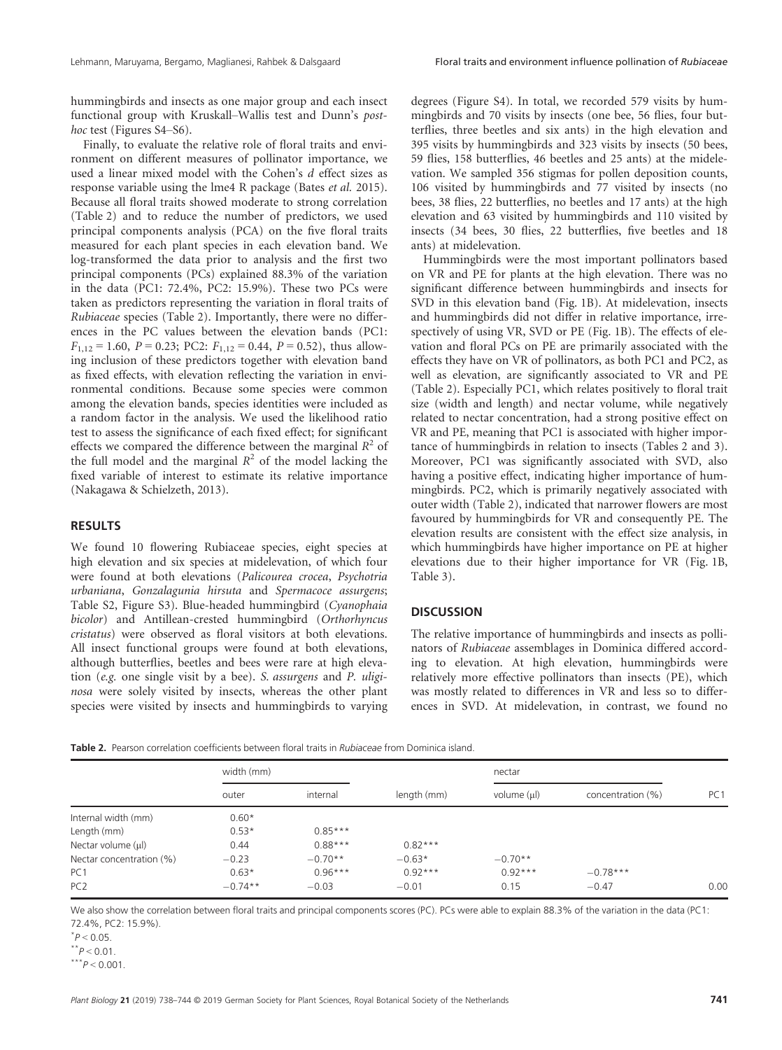hummingbirds and insects as one major group and each insect functional group with Kruskall–Wallis test and Dunn's posthoc test (Figures S4–S6).

Finally, to evaluate the relative role of floral traits and environment on different measures of pollinator importance, we used a linear mixed model with the Cohen's d effect sizes as response variable using the lme4 R package (Bates et al. 2015). Because all floral traits showed moderate to strong correlation (Table 2) and to reduce the number of predictors, we used principal components analysis (PCA) on the five floral traits measured for each plant species in each elevation band. We log-transformed the data prior to analysis and the first two principal components (PCs) explained 88.3% of the variation in the data (PC1: 72.4%, PC2: 15.9%). These two PCs were taken as predictors representing the variation in floral traits of Rubiaceae species (Table 2). Importantly, there were no differences in the PC values between the elevation bands (PC1:  $F_{1,12} = 1.60$ ,  $P = 0.23$ ; PC2:  $F_{1,12} = 0.44$ ,  $P = 0.52$ ), thus allowing inclusion of these predictors together with elevation band as fixed effects, with elevation reflecting the variation in environmental conditions. Because some species were common among the elevation bands, species identities were included as a random factor in the analysis. We used the likelihood ratio test to assess the significance of each fixed effect; for significant effects we compared the difference between the marginal  $R^2$  of the full model and the marginal  $R^2$  of the model lacking the fixed variable of interest to estimate its relative importance (Nakagawa & Schielzeth, 2013).

## RESULTS

We found 10 flowering Rubiaceae species, eight species at high elevation and six species at midelevation, of which four were found at both elevations (Palicourea crocea, Psychotria urbaniana, Gonzalagunia hirsuta and Spermacoce assurgens; Table S2, Figure S3). Blue-headed hummingbird (Cyanophaia bicolor) and Antillean-crested hummingbird (Orthorhyncus cristatus) were observed as floral visitors at both elevations. All insect functional groups were found at both elevations, although butterflies, beetles and bees were rare at high elevation (e.g. one single visit by a bee). S. assurgens and P. uliginosa were solely visited by insects, whereas the other plant species were visited by insects and hummingbirds to varying degrees (Figure S4). In total, we recorded 579 visits by hummingbirds and 70 visits by insects (one bee, 56 flies, four butterflies, three beetles and six ants) in the high elevation and 395 visits by hummingbirds and 323 visits by insects (50 bees, 59 flies, 158 butterflies, 46 beetles and 25 ants) at the midelevation. We sampled 356 stigmas for pollen deposition counts, 106 visited by hummingbirds and 77 visited by insects (no bees, 38 flies, 22 butterflies, no beetles and 17 ants) at the high elevation and 63 visited by hummingbirds and 110 visited by insects (34 bees, 30 flies, 22 butterflies, five beetles and 18 ants) at midelevation.

Hummingbirds were the most important pollinators based on VR and PE for plants at the high elevation. There was no significant difference between hummingbirds and insects for SVD in this elevation band (Fig. 1B). At midelevation, insects and hummingbirds did not differ in relative importance, irrespectively of using VR, SVD or PE (Fig. 1B). The effects of elevation and floral PCs on PE are primarily associated with the effects they have on VR of pollinators, as both PC1 and PC2, as well as elevation, are significantly associated to VR and PE (Table 2). Especially PC1, which relates positively to floral trait size (width and length) and nectar volume, while negatively related to nectar concentration, had a strong positive effect on VR and PE, meaning that PC1 is associated with higher importance of hummingbirds in relation to insects (Tables 2 and 3). Moreover, PC1 was significantly associated with SVD, also having a positive effect, indicating higher importance of hummingbirds. PC2, which is primarily negatively associated with outer width (Table 2), indicated that narrower flowers are most favoured by hummingbirds for VR and consequently PE. The elevation results are consistent with the effect size analysis, in which hummingbirds have higher importance on PE at higher elevations due to their higher importance for VR (Fig. 1B, Table 3).

## **DISCUSSION**

The relative importance of hummingbirds and insects as pollinators of Rubiaceae assemblages in Dominica differed according to elevation. At high elevation, hummingbirds were relatively more effective pollinators than insects (PE), which was mostly related to differences in VR and less so to differences in SVD. At midelevation, in contrast, we found no

Table 2. Pearson correlation coefficients between floral traits in *Rubiaceae* from Dominica island.

|                          | width (mm) |           |             | nectar      |                   |                 |
|--------------------------|------------|-----------|-------------|-------------|-------------------|-----------------|
|                          | outer      | internal  | length (mm) | volume (µl) | concentration (%) | PC <sub>1</sub> |
| Internal width (mm)      | $0.60*$    |           |             |             |                   |                 |
| Length (mm)              | $0.53*$    | $0.85***$ |             |             |                   |                 |
| Nectar volume $(\mu I)$  | 0.44       | $0.88***$ | $0.82***$   |             |                   |                 |
| Nectar concentration (%) | $-0.23$    | $-0.70**$ | $-0.63*$    | $-0.70**$   |                   |                 |
| PC <sub>1</sub>          | $0.63*$    | $0.96***$ | $0.92***$   | $0.92***$   | $-0.78***$        |                 |
| PC <sub>2</sub>          | $-0.74**$  | $-0.03$   | $-0.01$     | 0.15        | $-0.47$           | 0.00            |

We also show the correlation between floral traits and principal components scores (PC). PCs were able to explain 88.3% of the variation in the data (PC1: 72.4%, PC2: 15.9%).

 $^*P < 0.05$ .

 $*^*P < 0.01$ .

 $***^{\ast}P < 0.001$ .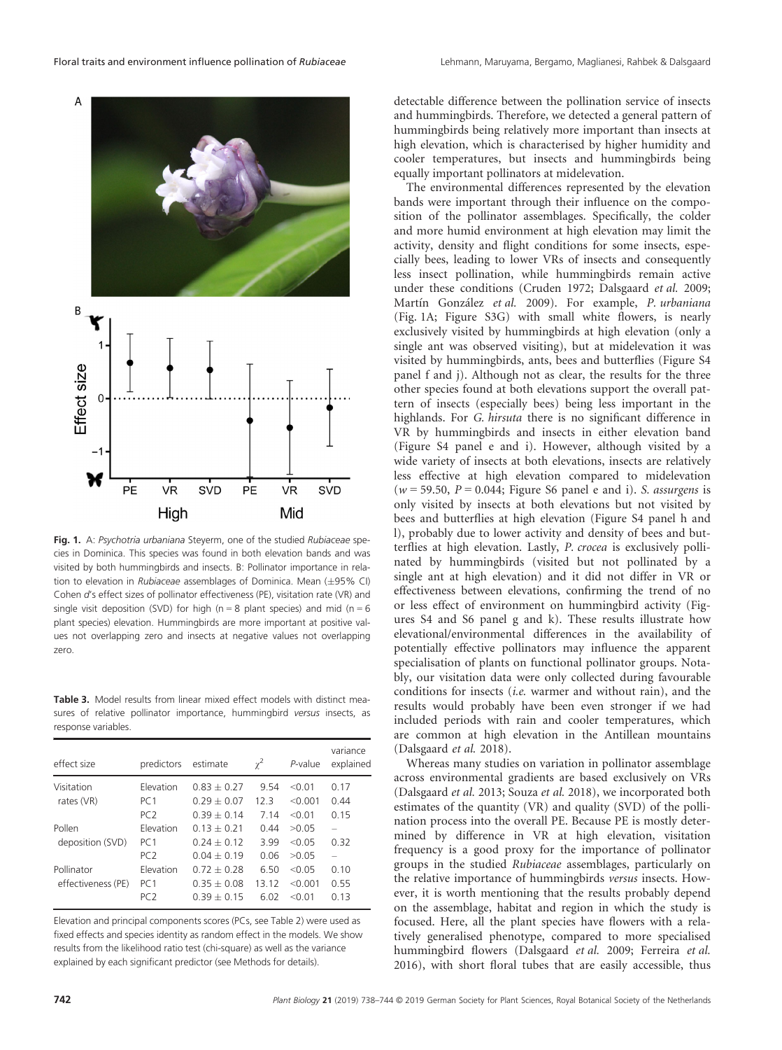

Fig. 1. A: Psychotria urbaniana Steyerm, one of the studied Rubiaceae species in Dominica. This species was found in both elevation bands and was visited by both hummingbirds and insects. B: Pollinator importance in relation to elevation in Rubiaceae assemblages of Dominica. Mean  $(\pm 95\% \text{ Cl})$ Cohen d's effect sizes of pollinator effectiveness (PE), visitation rate (VR) and single visit deposition (SVD) for high ( $n = 8$  plant species) and mid ( $n = 6$ plant species) elevation. Hummingbirds are more important at positive values not overlapping zero and insects at negative values not overlapping zero.

Table 3. Model results from linear mixed effect models with distinct measures of relative pollinator importance, hummingbird versus insects, as response variables.

| effect size        | predictors                   | estimate                       | $\gamma^2$   | P-value         | variance<br>explained |
|--------------------|------------------------------|--------------------------------|--------------|-----------------|-----------------------|
| Visitation         | Elevation                    | $0.83 + 0.27$                  | 9.54         | < 0.01          | 0.17                  |
| rates (VR)         | PC <sub>1</sub>              | $0.29 + 0.07$                  | 123          | < 0.001         | 0.44                  |
|                    | PC <sub>2</sub>              | $0.39 + 0.14$                  | 7.14         | $<$ 0.1         | 0.15                  |
| Pollen             | Elevation                    | $0.13 + 0.21$                  | 0.44         | >0.05           | 0.32                  |
| deposition (SVD)   | PC <sub>1</sub>              | $0.24 + 0.12$                  | 3.99         | $<$ 0.05        |                       |
| Pollinator         | PC <sub>2</sub><br>Elevation | $0.04 + 0.19$<br>$0.72 + 0.28$ | 0.06<br>6.50 | >0.05<br>< 0.05 | 0.10                  |
| effectiveness (PE) | PC <sub>1</sub>              | $0.35 + 0.08$                  | 13 12        | < 0.001         | 0.55                  |
|                    | PC <sub>2</sub>              | $0.39 + 0.15$                  | 6.02         | $<$ 0.1         | 0.13                  |

Elevation and principal components scores (PCs, see Table 2) were used as fixed effects and species identity as random effect in the models. We show results from the likelihood ratio test (chi-square) as well as the variance explained by each significant predictor (see Methods for details).

detectable difference between the pollination service of insects and hummingbirds. Therefore, we detected a general pattern of hummingbirds being relatively more important than insects at high elevation, which is characterised by higher humidity and cooler temperatures, but insects and hummingbirds being equally important pollinators at midelevation.

The environmental differences represented by the elevation bands were important through their influence on the composition of the pollinator assemblages. Specifically, the colder and more humid environment at high elevation may limit the activity, density and flight conditions for some insects, especially bees, leading to lower VRs of insects and consequently less insect pollination, while hummingbirds remain active under these conditions (Cruden 1972; Dalsgaard et al. 2009; Martín González et al. 2009). For example, P. urbaniana (Fig. 1A; Figure S3G) with small white flowers, is nearly exclusively visited by hummingbirds at high elevation (only a single ant was observed visiting), but at midelevation it was visited by hummingbirds, ants, bees and butterflies (Figure S4 panel f and j). Although not as clear, the results for the three other species found at both elevations support the overall pattern of insects (especially bees) being less important in the highlands. For G. hirsuta there is no significant difference in VR by hummingbirds and insects in either elevation band (Figure S4 panel e and i). However, although visited by a wide variety of insects at both elevations, insects are relatively less effective at high elevation compared to midelevation  $(w = 59.50, P = 0.044;$  Figure S6 panel e and i). S. assurgens is only visited by insects at both elevations but not visited by bees and butterflies at high elevation (Figure S4 panel h and l), probably due to lower activity and density of bees and butterflies at high elevation. Lastly, P. crocea is exclusively pollinated by hummingbirds (visited but not pollinated by a single ant at high elevation) and it did not differ in VR or effectiveness between elevations, confirming the trend of no or less effect of environment on hummingbird activity (Figures S4 and S6 panel g and k). These results illustrate how elevational/environmental differences in the availability of potentially effective pollinators may influence the apparent specialisation of plants on functional pollinator groups. Notably, our visitation data were only collected during favourable conditions for insects (i.e. warmer and without rain), and the results would probably have been even stronger if we had included periods with rain and cooler temperatures, which are common at high elevation in the Antillean mountains (Dalsgaard et al. 2018).

Whereas many studies on variation in pollinator assemblage across environmental gradients are based exclusively on VRs (Dalsgaard et al. 2013; Souza et al. 2018), we incorporated both estimates of the quantity (VR) and quality (SVD) of the pollination process into the overall PE. Because PE is mostly determined by difference in VR at high elevation, visitation frequency is a good proxy for the importance of pollinator groups in the studied Rubiaceae assemblages, particularly on the relative importance of hummingbirds versus insects. However, it is worth mentioning that the results probably depend on the assemblage, habitat and region in which the study is focused. Here, all the plant species have flowers with a relatively generalised phenotype, compared to more specialised hummingbird flowers (Dalsgaard et al. 2009; Ferreira et al. 2016), with short floral tubes that are easily accessible, thus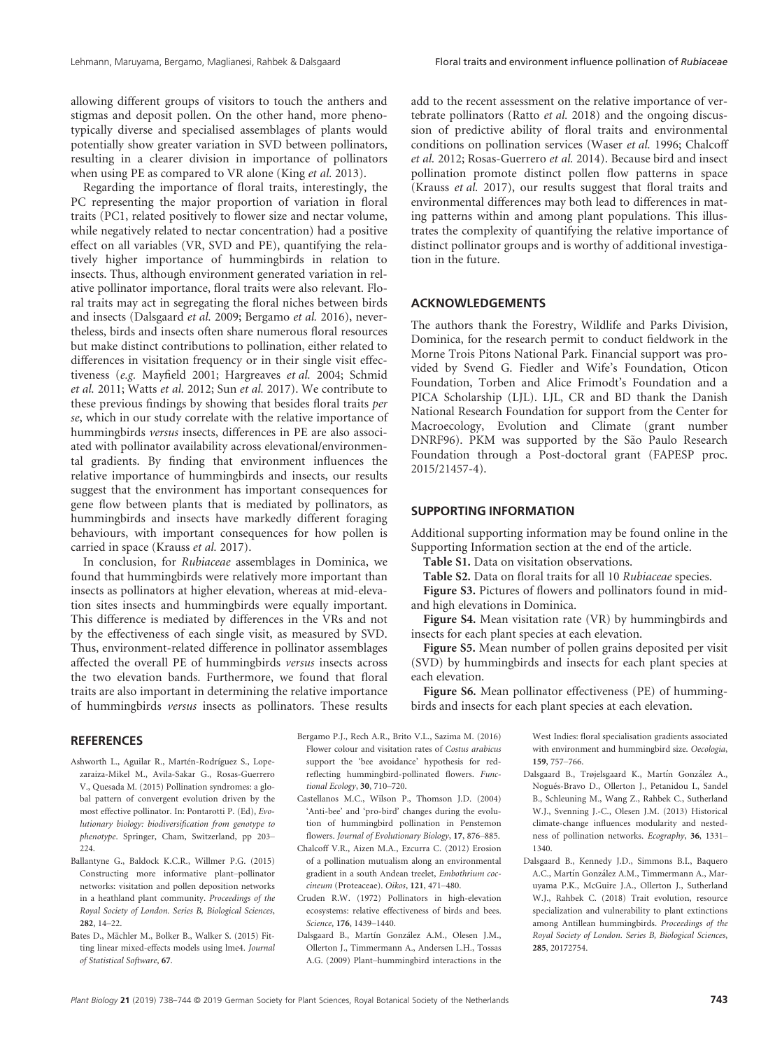allowing different groups of visitors to touch the anthers and stigmas and deposit pollen. On the other hand, more phenotypically diverse and specialised assemblages of plants would potentially show greater variation in SVD between pollinators, resulting in a clearer division in importance of pollinators when using PE as compared to VR alone (King et al. 2013).

Regarding the importance of floral traits, interestingly, the PC representing the major proportion of variation in floral traits (PC1, related positively to flower size and nectar volume, while negatively related to nectar concentration) had a positive effect on all variables (VR, SVD and PE), quantifying the relatively higher importance of hummingbirds in relation to insects. Thus, although environment generated variation in relative pollinator importance, floral traits were also relevant. Floral traits may act in segregating the floral niches between birds and insects (Dalsgaard et al. 2009; Bergamo et al. 2016), nevertheless, birds and insects often share numerous floral resources but make distinct contributions to pollination, either related to differences in visitation frequency or in their single visit effectiveness (e.g. Mayfield 2001; Hargreaves et al. 2004; Schmid et al. 2011; Watts et al. 2012; Sun et al. 2017). We contribute to these previous findings by showing that besides floral traits per se, which in our study correlate with the relative importance of hummingbirds versus insects, differences in PE are also associated with pollinator availability across elevational/environmental gradients. By finding that environment influences the relative importance of hummingbirds and insects, our results suggest that the environment has important consequences for gene flow between plants that is mediated by pollinators, as hummingbirds and insects have markedly different foraging behaviours, with important consequences for how pollen is carried in space (Krauss et al. 2017).

In conclusion, for Rubiaceae assemblages in Dominica, we found that hummingbirds were relatively more important than insects as pollinators at higher elevation, whereas at mid-elevation sites insects and hummingbirds were equally important. This difference is mediated by differences in the VRs and not by the effectiveness of each single visit, as measured by SVD. Thus, environment-related difference in pollinator assemblages affected the overall PE of hummingbirds versus insects across the two elevation bands. Furthermore, we found that floral traits are also important in determining the relative importance of hummingbirds versus insects as pollinators. These results

**REFERENCES** 

- Ashworth L., Aguilar R., Martén-Rodríguez S., Lopezaraiza-Mikel M., Avila-Sakar G., Rosas-Guerrero V., Quesada M. (2015) Pollination syndromes: a global pattern of convergent evolution driven by the most effective pollinator. In: Pontarotti P. (Ed), Evolutionary biology: biodiversification from genotype to phenotype. Springer, Cham, Switzerland, pp 203– 224.
- Ballantyne G., Baldock K.C.R., Willmer P.G. (2015) Constructing more informative plant–pollinator networks: visitation and pollen deposition networks in a heathland plant community. Proceedings of the Royal Society of London. Series B, Biological Sciences, 282, 14–22.
- Bates D., Mächler M., Bolker B., Walker S. (2015) Fitting linear mixed-effects models using lme4. Journal of Statistical Software, 67.

add to the recent assessment on the relative importance of vertebrate pollinators (Ratto et al. 2018) and the ongoing discussion of predictive ability of floral traits and environmental conditions on pollination services (Waser et al. 1996; Chalcoff et al. 2012; Rosas-Guerrero et al. 2014). Because bird and insect pollination promote distinct pollen flow patterns in space (Krauss et al. 2017), our results suggest that floral traits and environmental differences may both lead to differences in mating patterns within and among plant populations. This illustrates the complexity of quantifying the relative importance of distinct pollinator groups and is worthy of additional investigation in the future.

## ACKNOWLEDGEMENTS

The authors thank the Forestry, Wildlife and Parks Division, Dominica, for the research permit to conduct fieldwork in the Morne Trois Pitons National Park. Financial support was provided by Svend G. Fiedler and Wife's Foundation, Oticon Foundation, Torben and Alice Frimodt's Foundation and a PICA Scholarship (LJL). LJL, CR and BD thank the Danish National Research Foundation for support from the Center for Macroecology, Evolution and Climate (grant number DNRF96). PKM was supported by the São Paulo Research Foundation through a Post-doctoral grant (FAPESP proc. 2015/21457-4).

### SUPPORTING INFORMATION

Additional supporting information may be found online in the Supporting Information section at the end of the article.

Table S1. Data on visitation observations.

Table S2. Data on floral traits for all 10 Rubiaceae species.

Figure S3. Pictures of flowers and pollinators found in midand high elevations in Dominica.

Figure S4. Mean visitation rate (VR) by hummingbirds and insects for each plant species at each elevation.

Figure S5. Mean number of pollen grains deposited per visit (SVD) by hummingbirds and insects for each plant species at each elevation.

Figure S6. Mean pollinator effectiveness (PE) of hummingbirds and insects for each plant species at each elevation.

- Bergamo P.J., Rech A.R., Brito V.L., Sazima M. (2016) Flower colour and visitation rates of Costus arabicus support the 'bee avoidance' hypothesis for redreflecting hummingbird-pollinated flowers. Functional Ecology, 30, 710–720.
- Castellanos M.C., Wilson P., Thomson J.D. (2004) 'Anti-bee' and 'pro-bird' changes during the evolution of hummingbird pollination in Penstemon flowers. Journal of Evolutionary Biology, 17, 876–885.
- Chalcoff V.R., Aizen M.A., Ezcurra C. (2012) Erosion of a pollination mutualism along an environmental gradient in a south Andean treelet, Embothrium coccineum (Proteaceae). Oikos, 121, 471–480.
- Cruden R.W. (1972) Pollinators in high-elevation ecosystems: relative effectiveness of birds and bees. Science, 176, 1439–1440.
- Dalsgaard B., Martín González A.M., Olesen J.M., Ollerton J., Timmermann A., Andersen L.H., Tossas A.G. (2009) Plant–hummingbird interactions in the

West Indies: floral specialisation gradients associated with environment and hummingbird size. Oecologia, 159, 757–766. Dalsgaard B., Trøjelsgaard K., Martın Gonzalez A.,

- Nogués-Bravo D., Ollerton J., Petanidou I., Sandel B., Schleuning M., Wang Z., Rahbek C., Sutherland W.J., Svenning J.-C., Olesen J.M. (2013) Historical climate-change influences modularity and nestedness of pollination networks. Ecography, 36, 1331– 1340.
- Dalsgaard B., Kennedy J.D., Simmons B.I., Baquero A.C., Martín González A.M., Timmermann A., Maruyama P.K., McGuire J.A., Ollerton J., Sutherland W.J., Rahbek C. (2018) Trait evolution, resource specialization and vulnerability to plant extinctions among Antillean hummingbirds. Proceedings of the Royal Society of London. Series B, Biological Sciences, 285, 20172754.